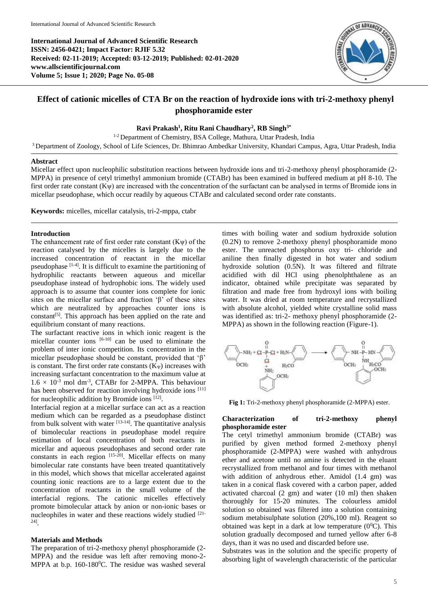**International Journal of Advanced Scientific Research ISSN: 2456-0421; Impact Factor: RJIF 5.32 Received: 02-11-2019; Accepted: 03-12-2019; Published: 02-01-2020 www.allscientificjournal.com Volume 5; Issue 1; 2020; Page No. 05-08**



# **Effect of cationic micelles of CTA Br on the reaction of hydroxide ions with tri-2-methoxy phenyl phosphoramide ester**

### **Ravi Prakash<sup>1</sup> , Ritu Rani Chaudhary<sup>2</sup> , RB Singh3\***

<sup>1-2</sup> Department of Chemistry, BSA College, Mathura, Uttar Pradesh, India <sup>3</sup>Department of Zoology, School of Life Sciences, Dr. Bhimrao Ambedkar University, Khandari Campus, Agra, Uttar Pradesh, India

#### **Abstract**

Micellar effect upon nucleophilic substitution reactions between hydroxide ions and tri-2-methoxy phenyl phosphoramide (2- MPPA) in presence of cetyl trimethyl ammonium bromide (CTABr) has been examined in buffered medium at pH 8-10. The first order rate constant (Kψ) are increased with the concentration of the surfactant can be analysed in terms of Bromide ions in micellar pseudophase, which occur readily by aqueous CTABr and calculated second order rate constants.

**Keywords:** micelles, micellar catalysis, tri-2-mppa, ctabr

### **Introduction**

The enhancement rate of first order rate constant  $(K\psi)$  of the reaction catalysed by the micelles is largely due to the increased concentration of reactant in the micellar pseudophase  $[1-4]$ . It is difficult to examine the partitioning of hydrophilic reactants between aqueous and micellar pseudophase instead of hydrophobic ions. The widely used approach is to assume that counter ions complete for ionic sites on the micellar surface and fraction ' $\beta$ ' of these sites which are neutralized by approaches counter ions is constant<sup>[5]</sup>. This approach has been applied on the rate and equilibrium constant of many reactions.

The surfactant reactive ions in which ionic reagent is the micellar counter ions  $[6-10]$  can be used to eliminate the problem of inter ionic competition. Its concentration in the micellar pseudophase should be constant, provided that 'β' is constant. The first order rate constants  $(K_{\Psi})$  increases with increasing surfactant concentration to the maximum value at  $1.6 \times 10^{-3}$  mol dm<sup>-3</sup>, CTABr for 2-MPPA. This behaviour has been observed for reaction involving hydroxide ions [11] for nucleophilic addition by Bromide ions [12].

Interfacial region at a micellar surface can act as a reaction medium which can be regarded as a pseudophase distinct from bulk solvent with water  $\left[13\right]$ <sup>14]</sup>. The quantitative analysis of bimolecular reactions in pseudophase model require estimation of local concentration of both reactants in micellar and aqueous pseudophases and second order rate constants in each region [15-20]. Micellar effects on many bimolecular rate constants have been treated quantitatively in this model, which shows that micellar accelerated against counting ionic reactions are to a large extent due to the concentration of reactants in the small volume of the interfacial regions. The cationic micelles effectively promote bimolecular attack by anion or non-ionic bases or nucleophiles in water and these reactions widely studied [21- 24] .

# **Materials and Methods**

The preparation of tri-2-methoxy phenyl phosphoramide (2- MPPA) and the residue was left after removing mono-2- MPPA at b.p.  $160-180^{\circ}$ C. The residue was washed several

times with boiling water and sodium hydroxide solution (0.2N) to remove 2-methoxy phenyl phosphoramide mono ester. The unreacted phosphorus oxy tri- chloride and aniline then finally digested in hot water and sodium hydroxide solution (0.5N). It was filtered and filtrate acidified with dil HCl using phenolphthalene as an indicator, obtained while precipitate was separated by filtration and made free from hydroxyl ions with boiling water. It was dried at room temperature and recrystallized with absolute alcohol, yielded white crystalline solid mass was identified as: tri-2- methoxy phenyl phosphoramide (2- MPPA) as shown in the following reaction (Figure-1).



**Fig 1:** Tri-2-methoxy phenyl phosphoramide (2-MPPA) ester.

## **Characterization of tri-2-methoxy phenyl phosphoramide ester**

The cetyl trimethyl ammonium bromide (CTABr) was purified by given method formed 2-methoxy phenyl phosphoramide (2-MPPA) were washed with anhydrous ether and acetone until no amine is detected in the eluant recrystallized from methanol and four times with methanol with addition of anhydrous ether. Amidol (1.4 gm) was taken in a conical flask covered with a carbon paper, added activated charcoal (2 gm) and water (10 ml) then shaken thoroughly for 15-20 minutes. The colourless amidol solution so obtained was filtered into a solution containing sodium metabisulphate solution (20%,100 ml). Reagent so obtained was kept in a dark at low temperature  $(0^0C)$ . This solution gradually decomposed and turned yellow after 6-8 days, than it was no used and discarded before use.

Substrates was in the solution and the specific property of absorbing light of wavelength characteristic of the particular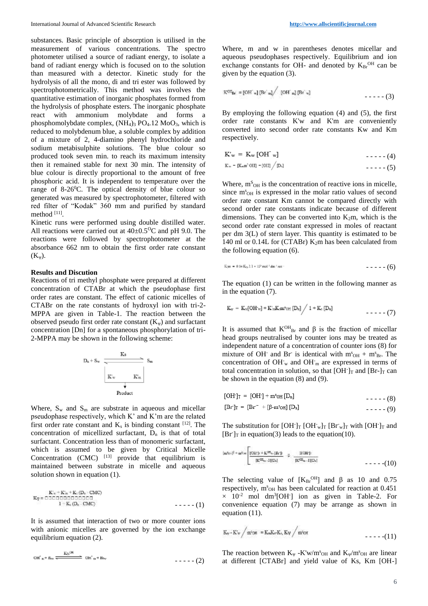substances. Basic principle of absorption is utilised in the measurement of various concentrations. The spectro photometer utilised a source of radiant energy, to isolate a band of radiant energy which is focused on to the solution than measured with a detector. Kinetic study for the hydrolysis of all the mono, di and tri ester was followed by spectrophotometrically. This method was involves the quantitative estimation of inorganic phosphates formed from the hydrolysis of phosphate esters. The inorganic phosphate react with ammonium molybdate and forms a phosphomolybdate complex,  $(NH_4)_3$  PO<sub>4</sub>.12 MoO<sub>3</sub>, which is reduced to molybdenum blue, a soluble complex by addition of a mixture of 2, 4-diamino phenyl hydrochloride and sodium metabisulphite solutions. The blue colour so produced took seven min. to reach its maximum intensity then it remained stable for next 30 min. The intensity of blue colour is directly proportional to the amount of free phosphoric acid. It is independent to temperature over the range of  $8-26^{\circ}$ C. The optical density of blue colour so generated was measured by spectrophotometer, filtered with red filter of "Kodak" 360 mm and purified by standard method [11] .

Kinetic runs were performed using double distilled water. All reactions were carried out at  $40\pm0.5^{\circ}\text{C}$  and pH 9.0. The reactions were followed by spectrophotometer at the absorbance 662 nm to obtain the first order rate constant  $(K_{\Psi}).$ 

#### **Results and Discution**

Reactions of tri methyl phosphate were prepared at different concentration of CTABr at which the pseudophase first order rates are constant. The effect of cationic micelles of CTABr on the rate constants of hydroxyl ion with tri-2- MPPA are given in Table-1. The reaction between the observed pseudo first order rate constant  $(K_{\psi})$  and surfactant concentration [Dn] for a spontaneous phosphorylation of tri-2-MPPA may be shown in the following scheme:

$$
\begin{array}{c|c} \multicolumn{3}{c|}{E_8}\\ \multicolumn{3}{c|}{K_9}\\ \multicolumn{3}{c|}{K_w}&\multicolumn{3}{c}{K_m}\\ \multicolumn{3}{c|}{K_w}&\multicolumn{3}{c}{K_m}\\ \multicolumn{3}{c|}{K_w}&\multicolumn{3}{c}{K_m}\\ \multicolumn{3}{c|}{W_w}&\multicolumn{3}{c}{K_m}\\ \multicolumn{3}{c|}{V_w}&\multicolumn{3}{c}{K_m}\\ \multicolumn{3}{c|}{V_w}&\multicolumn{3}{c}{V} &\multicolumn{3}{c} \end{array}
$$

Where,  $S_w$  and  $S_m$  are substrate in aqueous and micellar pseudophase respectively, which K' and K'm are the related first order rate constant and  $K_s$  is binding constant  $[12]$ . The concentration of micellized surfactant,  $D_n$  is that of total surfactant. Concentration less than of monomeric surfactant, which is assumed to be given by Critical Micelle Concentration  $(CMC)$  <sup>[13]</sup> provide that equilibrium is maintained between substrate in micelle and aqueous solution shown in equation (1).

$$
K_{\mathcal{R}} = \text{RSE} + K_{\mathcal{R}} + K_{\mathcal{R}} \text{ (D)} \cdot \text{CMC}
$$
\n
$$
K_{\mathcal{R}} = \text{RSE} \text{ (B)} \text{ (B)} \text{ (C)} \text{ (D)} \text{ (D)} \text{ (D)} \text{ (D)} \text{ (D)} \text{ (E)} \text{ (E)} \text{ (E)} \text{ (E)} \text{ (E)} \text{ (E)} \text{ (E)} \text{ (E)} \text{ (E)} \text{ (E)} \text{ (E)} \text{ (E)} \text{ (E)} \text{ (E)} \text{ (E)} \text{ (E)} \text{ (E)} \text{ (E)} \text{ (E)} \text{ (E)} \text{ (E)} \text{ (E)} \text{ (E)} \text{ (E)} \text{ (E)} \text{ (E)} \text{ (E)} \text{ (E)} \text{ (E)} \text{ (E)} \text{ (E)} \text{ (E)} \text{ (E)} \text{ (E)} \text{ (E)} \text{ (E)} \text{ (E)} \text{ (E)} \text{ (E)} \text{ (E)} \text{ (E)} \text{ (E)} \text{ (E)} \text{ (E)} \text{ (E)} \text{ (E)} \text{ (E)} \text{ (E)} \text{ (E)} \text{ (E)} \text{ (E)} \text{ (E)} \text{ (E)} \text{ (E)} \text{ (E)} \text{ (E)} \text{ (E)} \text{ (E)} \text{ (E)} \text{ (E)} \text{ (E)} \text{ (E)} \text{ (E)} \text{ (E)} \text{ (E)} \text{ (E)} \text{ (E)} \text{ (E)} \text{ (E)} \text{ (E)} \text{ (E)} \text{ (E)} \text{ (E)} \text{ (E)} \text{ (E)} \text{ (E)} \text{ (E)} \text{ (E)} \text{ (E)} \text{ (E)} \text{ (E)} \text{ (E)} \text{ (E)} \text{ (E)} \text{ (E)} \text{ (E)} \text{ (E)} \text{ (E)} \text{ (E)} \text{ (E)} \text{ (E)} \text{ (E)} \text{ (E)} \text{ (E)} \text{ (E)} \text{ (E)} \text{ (E)} \text{ (E)} \text{ (E)} \text{ (E)} \text{ (E)} \text{ (E)} \text{ (E)} \text{ (E)} \text{ (E)} \text{ (E)} \text{ (
$$

It is assumed that interaction of two or more counter ions with anionic micelles are governed by the ion exchange equilibrium equation (2).

$$
\text{OH}^{\star}{}_{\mathbf{z}} + \mathbf{B}_{\text{av}} \xrightarrow{\qquad \qquad } \text{OH}^{\star}{}_{\mathbf{u}} + \mathbf{B}_{\text{av}} \qquad \qquad - \text{--} \tag{2}
$$

Where, m and w in parentheses denotes micellar and aqueous pseudophases respectively. Equilibrium and ion exchange constants for OH- and denoted by  $K_{\text{Br}}^{\text{OH}}$  can be given by the equation (3).

$$
\mathbb{K}^{OII} \mathbf{B}_r = [OH_{w}] \left[Br_{m} \right] / [OH_{m}] \left[Br_{w} \right] \tag{3}
$$

By employing the following equation (4) and (5), the first order rate constants K'w and K'm are conveniently converted into second order rate constants Kw and Km respectively.

$$
K'w = K_w [OH^w]
$$
  
\n
$$
K_w = K_{ww} [OH^w]
$$
  
\n
$$
K_w = K_{ww} [OH^w]
$$
  
\n
$$
K_w = 100
$$
  
\n
$$
m = 100
$$
  
\n
$$
m = 100
$$
  
\n
$$
m = 100
$$
  
\n
$$
m = 100
$$
  
\n
$$
m = 100
$$
  
\n
$$
m = 100
$$
  
\n
$$
m = 100
$$
  
\n
$$
m = 100
$$
  
\n
$$
m = 100
$$
  
\n
$$
m = 100
$$
  
\n
$$
m = 100
$$
  
\n
$$
m = 100
$$
  
\n
$$
m = 100
$$
  
\n
$$
m = 100
$$
  
\n
$$
m = 100
$$
  
\n
$$
m = 100
$$
  
\n
$$
m = 100
$$
  
\n
$$
m = 100
$$
  
\n
$$
m = 100
$$
  
\n
$$
m = 100
$$
  
\n
$$
m = 100
$$
  
\n
$$
m = 100
$$
  
\n
$$
m = 100
$$
  
\n
$$
m = 100
$$
  
\n
$$
m = 100
$$
  
\n
$$
m = 100
$$
  
\n
$$
m = 100
$$
  
\n
$$
m = 100
$$
  
\n
$$
m = 100
$$
  
\n
$$
m = 100
$$
  
\n
$$
m = 100
$$
  
\n
$$
m = 100
$$
  
\n
$$
m = 100
$$
  
\n
$$
m = 100
$$
  
\n
$$
m = 100
$$
  
\n
$$
m = 100
$$
  
\n
$$
m = 100
$$
  
\n
$$
m = 100
$$

Where,  $m<sup>S</sup>_{OH}$  is the concentration of reactive ions in micelle, since m<sup>s</sup><sub>OH</sub> is expressed in the molar ratio values of second order rate constant Km cannot be compared directly with second order rate constants indicate because of different dimensions. They can be converted into  $K_2m$ , which is the second order rate constant expressed in moles of reactant per dm 3(L) of stern layer. This quantity is estimated to be 140 ml or 0.14L for (CTABr) K2m has been calculated from the following equation (6).

$$
K_1m = 0.14 K_m 2.3 * 10^5 rad^2 dm^3 mc^2
$$

The equation (1) can be written in the following manner as in the equation (7).

$$
K_{\nu} = K_{\nu} [OH_{\nu}]+K'_{\nu}K_{5}m^{a}\omega_{H} [D_{n}] / 1 + K_{5} [D_{n}]
$$

It is assumed that  $K^{OH}_{Br}$  and β is the fraction of micellar head groups neutralised by counter ions may be treated as independent nature of a concentration of counter ions (8) for mixture of OH<sup>-</sup> and Br<sup>-</sup> is identical with  $m<sup>s</sup>_{OH} + m<sup>s</sup>_{Br}$ . The concentration of OH-<sup>w</sup> and OH-<sup>m</sup> are expressed in terms of total concentration in solution, so that  $[OH^-]_T$  and  $[Br-)_T$  can be shown in the equation (8) and (9).

$$
[OH1]T = [OH1] + msOH [Dn][Br1]T = [Br- + [β-msOH] [Dn]--- (9)--- (9)
$$

The substitution for  $[OH]_T [OH]_W]_T [Br]_W$  with  $[OH]_T$  and [Br<sup>-</sup>]<sub>T</sub> in equation(3) leads to the equation(10).

$$
|w^{t_{0},\beta}+w^{t_{0}}|\frac{|O\mathbb{H}^{t_{0}}+K^{O\!H_{0}}\cap B\mathbb{H}^{t_{1}}}{|K^{O\!H_{0}}\cap I|[D_{t}]}-\beta-\frac{|I(O\mathbb{H}^{t_{1}})}{|K^{O\!H_{0}}\cap I|[D_{t}]}-\cdots-(-10))
$$

The selecting value of  $[K_{Br}^{OH}]$  and  $\beta$  as 10 and 0.75 respectively, m<sup>s</sup><sub>OH</sub> has been calculated for reaction at 0.451  $\times$  10<sup>-2</sup> mol dm<sup>3</sup>[OH<sup>-</sup>] ion as given in Table-2. For convenience equation (7) may be arrange as shown in equation (11).

$$
K_W - K^{\prime}w \big/ m^2 \text{OR} = K_m K_m K_t, K\psi \big/ m^2 \text{OR}
$$

The reaction between  $K_{\psi}$  -K'w/m<sup>s</sup><sub>OH</sub> and  $K_{\psi}/m^s$ <sub>OH</sub> are linear at different [CTABr] and yield value of Ks, Km [OH-]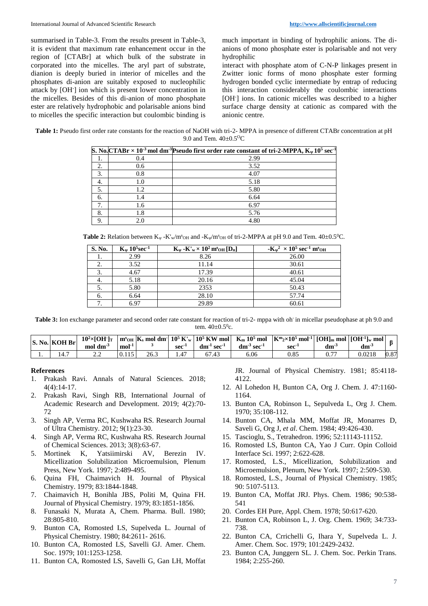summarised in Table-3. From the results present in Table-3, it is evident that maximum rate enhancement occur in the region of [CTABr] at which bulk of the substrate in corporated into the micelles. The aryl part of substrate, dianion is deeply buried in interior of micelles and the phosphates di-anion are suitably exposed to nucleophilic attack by [OH- ] ion which is present lower concentration in the micelles. Besides of this di-anion of mono phosphate ester are relatively hydrophobic and polarisable anions bind to micelles the specific interaction but coulombic binding is

much important in binding of hydrophilic anions. The dianions of mono phosphate ester is polarisable and not very hydrophilic

interact with phosphate atom of C-N-P linkages present in Zwitter ionic forms of mono phosphate ester forming hydrogen bonded cyclic intermediate by entrap of reducing this interaction considerably the coulombic interactions [OH- ] ions. In cationic micelles was described to a higher surface charge density at cationic as compared with the anionic centre.

**Table 1:** Pseudo first order rate constants for the reaction of NaOH with tri-2- MPPA in presence of different CTABr concentration at pH 9.0 and Tem.  $40\pm0.5^{\circ}$ C

|     |     | S. No. $CTABr \times 10^{-3}$ mol dm <sup>-3</sup> Pseudo first order rate constant of tri-2-MPPA, $K_{\psi} 10^5$ sec <sup>-1</sup> |
|-----|-----|--------------------------------------------------------------------------------------------------------------------------------------|
|     | 0.4 | 2.99                                                                                                                                 |
| 2.  | 0.6 | 3.52                                                                                                                                 |
| 3.  | 0.8 | 4.07                                                                                                                                 |
| -4. | 1.0 | 5.18                                                                                                                                 |
| 5.  | 1.2 | 5.80                                                                                                                                 |
| 6.  | 1.4 | 6.64                                                                                                                                 |
| 7.  | 1.6 | 6.97                                                                                                                                 |
| 8.  | 1.8 | 5.76                                                                                                                                 |
| 9.  | 2.0 | 4.80                                                                                                                                 |

**Table 2:** Relation between  $K_{\psi}$  -K'<sub>w</sub>/m<sup>s</sup><sub>OH</sub> and -K<sub> $\psi$ </sub>/m<sup>s</sup><sub>OH</sub> of tri-2-MPPA at pH 9.0 and Tem. 40±0.5<sup>o</sup>C.

| S. No.                   | $K_{\nu}$ 10 <sup>5</sup> sec <sup>-1</sup> | $\mathbf{K}_{\Psi}$ - $\mathbf{K}'_{\mathbf{w}} \times 10^2 \,\mathbf{m}^{\mathrm{s}}$ OH $[\mathbf{D}_{\mathrm{n}}]$ | $-{\rm K}_{\nu}{}^2 \times 10^5$ sec <sup>-1</sup> m <sup>s</sup> OH |  |  |
|--------------------------|---------------------------------------------|-----------------------------------------------------------------------------------------------------------------------|----------------------------------------------------------------------|--|--|
| 1.                       | 2.99                                        | 8.26                                                                                                                  | 26.00                                                                |  |  |
| 2.                       | 3.52                                        | 11.14                                                                                                                 | 30.61                                                                |  |  |
| 3.                       | 4.67                                        | 17.39                                                                                                                 | 40.61                                                                |  |  |
| 4.                       | 5.18                                        | 20.16                                                                                                                 | 45.04                                                                |  |  |
| 5.                       | 5.80                                        | 2353                                                                                                                  | 50.43                                                                |  |  |
| 6.                       | 6.64                                        | 28.10                                                                                                                 | 57.74                                                                |  |  |
| $\overline{\phantom{0}}$ | 6.97                                        | 29.89                                                                                                                 | 60.61                                                                |  |  |

Table 3: Ion exchange parameter and second order rate constant for reaction of tri-2- mppa with oh in micellar pseudophase at ph 9.0 and tem.  $40 \pm 0.5^{\circ}$ c.

|     | <b>S. No. KOH Br</b> | $10^2 \times \text{[OH]}\text{T}$<br>$mol \, \text{dm}^{-3}$ | $mol-1$ |      | sec <sup>-</sup> | dm <sup>-1</sup><br>$\cdot$ sec $\cdot$ | $\int$ m <sup>s</sup> <sub>OH</sub> $\int$ K <sub>s</sub> mol dm <sup>-</sup> $\int$ 10 <sup>5</sup> K <sup>'</sup> <sub>w</sub> $\left 10^{5}$ KW mol $\right $ K <sub>m</sub> 10 <sup>5</sup> mol<br>$dm^{-3}$ sec <sup>-1</sup> | $ \text{K}^{\text{m}}_{2}\times10^{5}\text{ mol}^{-1} $ [OH] <sub>m</sub> mol $ [\text{OH}^{-1}]_{\text{w}}$ mol $ $<br>sec <sup>-</sup> | $dm^-$ | $dm^{-3}$ |      |
|-----|----------------------|--------------------------------------------------------------|---------|------|------------------|-----------------------------------------|------------------------------------------------------------------------------------------------------------------------------------------------------------------------------------------------------------------------------------|------------------------------------------------------------------------------------------------------------------------------------------|--------|-----------|------|
| . . | 14.7                 | <u> 2.Z</u>                                                  | 0.115   | 26.3 |                  |                                         | 6.06                                                                                                                                                                                                                               | 0.85                                                                                                                                     | U.,    | 0.0218    | 0.87 |

### **References**

- 1. Prakash Ravi. Annals of Natural Sciences. 2018; 4(4):14-17.
- 2. Prakash Ravi, Singh RB, International Journal of Academic Research and Development. 2019; 4(2):70- 72
- 3. Singh AP, Verma RC, Kushwaha RS. Research Journal of Ultra Chemistry. 2012; 9(1):23-30.
- 4. Singh AP, Verma RC, Kushwaha RS. Research Journal of Chemical Sciences. 2013; 3(8):63-67.
- 5. Mortinek K, Yatsiimirski AV, Berezin IV. Micellization Solubilization Microemulsion, Plenum Press, New York. 1997; 2:489-495.
- 6. Quina FH, Chaimavich H. Journal of Physical Chemistry. 1979; 83:1844-1848.
- 7. Chaimavich H, Bonihla JBS, Politi M, Quina FH. Journal of Physical Chemistry. 1979; 83:1851-1856.
- 8. Funasaki N, Murata A, Chem. Pharma. Bull. 1980; 28:805-810.
- 9. Bunton CA, Romosted LS, Supelveda L. Journal of Physical Chemistry. 1980; 84:2611- 2616.
- 10. Bunton CA, Romosted LS, Savelli GJ. Amer. Chem. Soc. 1979; 101:1253-1258.
- 11. Bunton CA, Romosted LS, Savelli G, Gan LH, Moffat

JR. Journal of Physical Chemistry. 1981; 85:4118- 4122.

- 12. Al Lohedon H, Bunton CA, Org J. Chem. J. 47:1160- 1164.
- 13. Bunton CA, Robinson L, Sepulveda L, Org J. Chem. 1970; 35:108-112.
- 14. Bunton CA, Mhala MM, Moffat JR, Monarres D, Saveli G, Org J, *et al*. Chem. 1984; 49:426-430.
- 15. Tascioglu, S., Tetrahedron. 1996; 52:11143-11152.
- 16. Romosted LS, Bunton CA, Yao J Curr. Opin Colloid Interface Sci. 1997; 2:622-628.
- 17. Romosted, L.S., Micellization, Solubilization and Microemulsion, Plenum, New York. 1997; 2:509-530.
- 18. Romosted, L.S., Journal of Physical Chemistry. 1985; 90: 5107-5113.
- 19. Bunton CA, Moffat JRJ. Phys. Chem. 1986; 90:538- 541
- 20. Cordes EH Pure, Appl. Chem. 1978; 50:617-620.
- 21. Bunton CA, Robinson L, J. Org. Chem. 1969; 34:733- 738.
- 22. Bunton CA, Crrichelli G, Ihara Y, Supelveda L. J. Amer. Chem. Soc. 1979; 101:2429-2432.
- 23. Bunton CA, Junggern SL. J. Chem. Soc. Perkin Trans. 1984; 2:255-260.